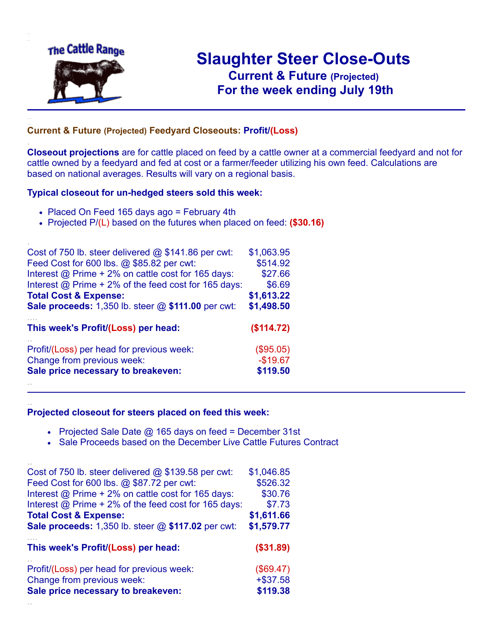

.

..

# **Slaughter Steer Close-Outs Current & Future (Projected)** .**For the week ending July 19th**

### **Current & Future (Projected) Feedyard Closeouts: Profit/(Loss)**

**Closeout projections** are for cattle placed on feed by a cattle owner at a commercial feedyard and not for cattle owned by a feedyard and fed at cost or a farmer/feeder utilizing his own feed. Calculations are based on national averages. Results will vary on a regional basis.

#### **Typical closeout for un-hedged steers sold this week:**

- Placed On Feed 165 days ago = February 4th
- Projected P/(L) based on the futures when placed on feed: **(\$30.16)**

| Cost of 750 lb. steer delivered $@$ \$141.86 per cwt:       | \$1,063.95 |
|-------------------------------------------------------------|------------|
| Feed Cost for 600 lbs. @ \$85.82 per cwt:                   | \$514.92   |
| Interest @ Prime + 2% on cattle cost for 165 days:          | \$27.66    |
| Interest $\omega$ Prime + 2% of the feed cost for 165 days: | \$6.69     |
| <b>Total Cost &amp; Expense:</b>                            | \$1,613.22 |
| <b>Sale proceeds:</b> 1,350 lb. steer $@$ \$111.00 per cwt: | \$1,498.50 |
| This week's Profit/(Loss) per head:                         | (\$114.72) |
| Profit/(Loss) per head for previous week:                   | (\$95.05)  |
| Change from previous week:                                  | $-$19.67$  |
| Sale price necessary to breakeven:                          | \$119.50   |
|                                                             |            |

#### **Projected closeout for steers placed on feed this week:**

- Projected Sale Date  $@$  165 days on feed = December 31st
- Sale Proceeds based on the December Live Cattle Futures Contract

| Cost of 750 lb. steer delivered $@$ \$139.58 per cwt:  | \$1,046.85 |
|--------------------------------------------------------|------------|
| Feed Cost for 600 lbs. @ \$87.72 per cwt:              | \$526.32   |
| Interest @ Prime + 2% on cattle cost for 165 days:     | \$30.76    |
| Interest $@$ Prime + 2% of the feed cost for 165 days: | \$7.73     |
| <b>Total Cost &amp; Expense:</b>                       | \$1,611.66 |
| Sale proceeds: 1,350 lb. steer @ \$117.02 per cwt:     | \$1,579.77 |
|                                                        |            |
| This week's Profit/(Loss) per head:                    | (\$31.89)  |
| Profit/(Loss) per head for previous week:              | (\$69.47)  |
| Change from previous week:                             | $+ $37.58$ |
| Sale price necessary to breakeven:                     | \$119.38   |